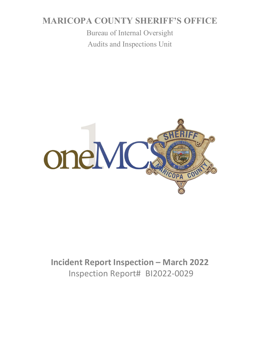# **MARICOPA COUNTY SHERIFF'S OFFICE**

Bureau of Internal Oversight Audits and Inspections Unit



# **Incident Report Inspection – March 2022**  Inspection Report# BI2022-0029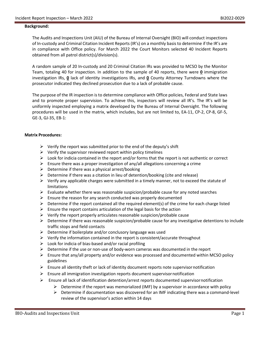#### **Background:**

The Audits and Inspections Unit (AIU) of the Bureau of Internal Oversight (BIO) will conduct inspections of In-custody and Criminal Citation Incident Reports (IR's) on a monthly basis to determine if the IR's are in compliance with Office policy. For March 2022 the Court Monitors selected 40 Incident Reports obtained from all patrol district(s)/division(s).

A random sample of 20 In-custody and 20 Criminal Citation IRs was provided to MCSO by the Monitor Team, totaling 40 for inspection. In addition to the sample of 40 reports, there were **0** immigration investigation IRs, **0** lack of identity investigations IRs, and **0** County Attorney Turndowns where the prosecutor indicated they declined prosecution due to a lack of probable cause.

The purpose of the IR inspection is to determine compliance with Office policies, Federal and State laws and to promote proper supervision. To achieve this, inspectors will review all IR's. The IR's will be uniformly inspected employing a matrix developed by the Bureau of Internal Oversight. The following procedures will be used in the matrix, which includes, but are not limited to, EA-11, CP-2, CP-8, GF-5, GE-3, GJ-35, EB-1:

#### **Matrix Procedures:**

- $\triangleright$  Verify the report was submitted prior to the end of the deputy's shift
- $\triangleright$  Verify the supervisor reviewed report within policy timelines
- $\triangleright$  Look for indicia contained in the report and/or forms that the report is not authentic or correct
- Ensure there was a proper investigation of any/all allegations concerning a crime
- $\triangleright$  Determine if there was a physical arrest/booking
- $\triangleright$  Determine if there was a citation in lieu of detention/booking (cite and release)
- $\triangleright$  Verify any applicable charges were submitted in a timely manner, not to exceed the statute of limitations
- $\triangleright$  Evaluate whether there was reasonable suspicion/probable cause for any noted searches
- $\triangleright$  Ensure the reason for any search conducted was properly documented
- $\triangleright$  Determine if the report contained all the required element(s) of the crime for each charge listed
- $\triangleright$  Ensure the report contains articulation of the legal basis for the action
- $\triangleright$  Verify the report properly articulates reasonable suspicion/probable cause
- $\triangleright$  Determine if there was reasonable suspicion/probable cause for any investigative detentions to include traffic stops and field contacts
- $\triangleright$  Determine if boilerplate and/or conclusory language was used
- $\triangleright$  Verify the information contained in the report is consistent/accurate throughout
- $\triangleright$  Look for indicia of bias-based and/or racial profiling
- $\triangleright$  Determine if the use or non-use of body-worn cameras was documented in the report
- $\triangleright$  Ensure that any/all property and/or evidence was processed and documented within MCSO policy guidelines
- $\triangleright$  Ensure all identity theft or lack of identity document reports note supervisor notification
- $\triangleright$  Ensure all immigration investigation reports document supervisor notification
- $\triangleright$  Ensure all lack of identification detention/arrest reports documented supervisornotification
	- $\triangleright$  Determine if the report was memorialized (IMF) by a supervisor in accordance with policy
	- $\triangleright$  Determine if documentation was discovered for an IMF indicating there was a command-level review of the supervisor's action within 14 days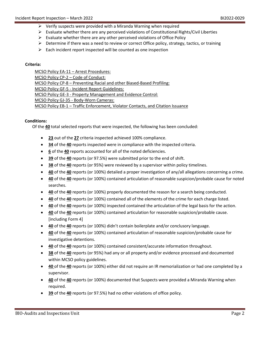- $\triangleright$  Verify suspects were provided with a Miranda Warning when required
- $\triangleright$  Evaluate whether there are any perceived violations of Constitutional Rights/Civil Liberties
- $\triangleright$  Evaluate whether there are any other perceived violations of Office Policy
- $\triangleright$  Determine if there was a need to review or correct Office policy, strategy, tactics, or training
- $\triangleright$  Each incident report inspected will be counted as one inspection

#### **Criteria:**

MCSO Policy EA-11 – Arrest Procedures: MCSO Policy CP-2 – Code of Conduct: MCSO Policy CP-8 – Preventing Racial and other Biased-Based Profiling: MCSO Policy GF-5 - Incident Report Guidelines: MCSO Policy GE-3 - Property Management and Evidence Control: MCSO Policy GJ-35 - Body-Worn Cameras: MCSO Policy EB-1 – Traffic Enforcement, Violator Contacts, and Citation Issuance

#### **Conditions:**

Of the **40** total selected reports that were inspected, the following has been concluded:

- **23** out of the **27** criteria inspected achieved 100% compliance.
- **34** of the **40** reports inspected were in compliance with the inspected criteria.
- **6** of the **40** reports accounted for all of the noted deficiencies.
- **39** of the **40** reports (or 97.5%) were submitted prior to the end of shift.
- **38** of the **40** reports (or 95%) were reviewed by a supervisor within policy timelines.
- **40** of the **40** reports (or 100%) detailed a proper investigation of any/all allegations concerning a crime.
- **40** of the **40** reports (or 100%) contained articulation of reasonable suspicion/probable cause for noted searches.
- **40** of the **40** reports (or 100%) properly documented the reason for a search being conducted.
- **40** of the **40** reports (or 100%) contained all of the elements of the crime for each charge listed.
- **40** of the **40** reports (or 100%) inspected contained the articulation of the legal basis for the action.
- **40** of the **40** reports (or 100%) contained articulation for reasonable suspicion/probable cause. [including Form 4]
- **40** of the **40** reports (or 100%) didn't contain boilerplate and/or conclusory language.
- **40** of the **40** reports (or 100%) contained articulation of reasonable suspicion/probable cause for investigative detentions.
- **40** of the **40** reports (or 100%) contained consistent/accurate information throughout.
- **38** of the **40** reports (or 95%) had any or all property and/or evidence processed and documented within MCSO policy guidelines.
- **40** of the **40** reports (or 100%) either did not require an IR memorialization or had one completed by a supervisor.
- **40** of the **40** reports (or 100%) documented that Suspects were provided a Miranda Warning when required.
- **39** of the **40** reports (or 97.5%) had no other violations of office policy.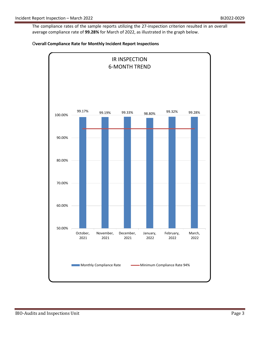The compliance rates of the sample reports utilizing the 27-inspection criterion resulted in an overall average compliance rate of **99.28%** for March of 2022, as illustrated in the graph below.



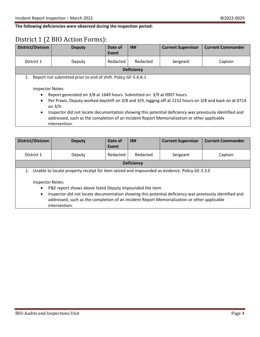**The following deficiencies were observed during the inspection period:**

## District 1 (2 BIO Action Forms):

| <b>District/Division</b>                  | <b>Deputy</b>                                                                                                                                                                                                                                                                                                                                                                                                                                                                                                         | Date of<br>Event | IR#               | <b>Current Supervisor</b> | <b>Current Commander</b> |
|-------------------------------------------|-----------------------------------------------------------------------------------------------------------------------------------------------------------------------------------------------------------------------------------------------------------------------------------------------------------------------------------------------------------------------------------------------------------------------------------------------------------------------------------------------------------------------|------------------|-------------------|---------------------------|--------------------------|
| District 1                                | Deputy                                                                                                                                                                                                                                                                                                                                                                                                                                                                                                                | Redacted         | Redacted          | Sergeant                  | Captain                  |
|                                           |                                                                                                                                                                                                                                                                                                                                                                                                                                                                                                                       |                  | <b>Deficiency</b> |                           |                          |
| 1.<br>$\bullet$<br>$\bullet$<br>$\bullet$ | Report not submitted prior to end of shift. Policy GF-5.4.A.1<br><b>Inspector Notes:</b><br>Report generated on 3/8 at 1649 hours. Submitted on 3/9 at 0907 hours.<br>Per Praxis, Deputy worked dayshift on 3/8 and 3/9, logging off at 2152 hours on 3/8 and back on at 0714<br>on $3/9$ .<br>Inspector did not locate documentation showing this potential deficiency was previously identified and<br>addressed, such as the completion of an Incident Report Memorialization or other applicable<br>intervention. |                  |                   |                           |                          |

| <b>District/Division</b>                                                                                                                                                                                                                                                                                                                                                                                                               | <b>Deputy</b> | Date of<br>Event | IR#               | <b>Current Supervisor</b> | <b>Current Commander</b> |
|----------------------------------------------------------------------------------------------------------------------------------------------------------------------------------------------------------------------------------------------------------------------------------------------------------------------------------------------------------------------------------------------------------------------------------------|---------------|------------------|-------------------|---------------------------|--------------------------|
| District 1                                                                                                                                                                                                                                                                                                                                                                                                                             | Deputy        | Redacted         | Redacted          | Sergeant                  | Captain                  |
|                                                                                                                                                                                                                                                                                                                                                                                                                                        |               |                  | <b>Deficiency</b> |                           |                          |
| Unable to locate property receipt for item seized and impounded as evidence. Policy GE-3.3.E<br>1.<br>Inspector Notes:<br>P&E report shows above listed Deputy impounded the item.<br>$\bullet$<br>Inspector did not locate documentation showing this potential deficiency was previously identified and<br>$\bullet$<br>addressed, such as the completion of an Incident Report Memorialization or other applicable<br>intervention. |               |                  |                   |                           |                          |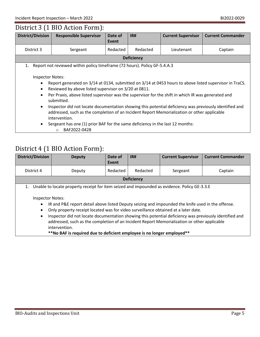### District 3 (1 BIO Action Form):

| <b>District/Division</b>                                                                 | <b>Responsible Supervisor</b>                                                                                                                                                                                                                                                                                                                                                                                                                                                                                                                                                                                            | Date of  | IR#      | <b>Current Supervisor</b> | <b>Current Commander</b> |  |
|------------------------------------------------------------------------------------------|--------------------------------------------------------------------------------------------------------------------------------------------------------------------------------------------------------------------------------------------------------------------------------------------------------------------------------------------------------------------------------------------------------------------------------------------------------------------------------------------------------------------------------------------------------------------------------------------------------------------------|----------|----------|---------------------------|--------------------------|--|
|                                                                                          |                                                                                                                                                                                                                                                                                                                                                                                                                                                                                                                                                                                                                          | Event    |          |                           |                          |  |
| District 3                                                                               | Sergeant                                                                                                                                                                                                                                                                                                                                                                                                                                                                                                                                                                                                                 | Redacted | Redacted | Lieutenant                | Captain                  |  |
|                                                                                          | <b>Deficiency</b>                                                                                                                                                                                                                                                                                                                                                                                                                                                                                                                                                                                                        |          |          |                           |                          |  |
| 1.                                                                                       | Report not reviewed within policy timeframe (72 hours). Policy GF-5.4.A.3                                                                                                                                                                                                                                                                                                                                                                                                                                                                                                                                                |          |          |                           |                          |  |
| <b>Inspector Notes:</b><br>$\bullet$<br>$\bullet$<br>$\bullet$<br>$\bullet$<br>$\bullet$ | Report generated on 3/14 at 0134, submitted on 3/14 at 0453 hours to above listed supervisor in TraCS.<br>Reviewed by above listed supervisor on 3/20 at 0811.<br>Per Praxis, above listed supervisor was the supervisor for the shift in which IR was generated and<br>submitted.<br>Inspector did not locate documentation showing this potential deficiency was previously identified and<br>addressed, such as the completion of an Incident Report Memorialization or other applicable<br>intervention.<br>Sergeant has one (1) prior BAF for the same deficiency in the last 12 months:<br>BAF2022-0428<br>$\circ$ |          |          |                           |                          |  |

## District 4 (1 BIO Action Form):

| <b>District/Division</b>                                                                                                                                                                                                                                                                                                                                                                                                                                                                                                                                                                  | <b>Deputy</b> | Date of<br>Event | IR#               | <b>Current Supervisor</b> | <b>Current Commander</b> |
|-------------------------------------------------------------------------------------------------------------------------------------------------------------------------------------------------------------------------------------------------------------------------------------------------------------------------------------------------------------------------------------------------------------------------------------------------------------------------------------------------------------------------------------------------------------------------------------------|---------------|------------------|-------------------|---------------------------|--------------------------|
| District 4                                                                                                                                                                                                                                                                                                                                                                                                                                                                                                                                                                                | Deputy        | Redacted         | Redacted          | Sergeant                  | Captain                  |
|                                                                                                                                                                                                                                                                                                                                                                                                                                                                                                                                                                                           |               |                  | <b>Deficiency</b> |                           |                          |
| Unable to locate property receipt for item seized and impounded as evidence. Policy GE-3.3.E<br>1.<br><b>Inspector Notes:</b><br>IR and P&E report detail above listed Deputy seizing and impounded the knife used in the offense.<br>$\bullet$<br>Only property receipt located was for video surveillance obtained at a later date.<br>$\bullet$<br>Inspector did not locate documentation showing this potential deficiency was previously identified and<br>$\bullet$<br>addressed, such as the completion of an Incident Report Memorialization or other applicable<br>intervention. |               |                  |                   |                           |                          |

**\*\*No BAF is required due to deficient employee is no longer employed\*\***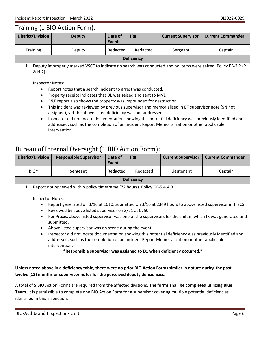### Training (1 BIO Action Form):

| <b>District/Division</b>                                                                                 | <b>Deputy</b>                                                                                                                                                                                                                                                                                                                                                                                                                                                                                                                                                                                      | Date of<br>Event | IR#               | <b>Current Supervisor</b> | <b>Current Commander</b> |
|----------------------------------------------------------------------------------------------------------|----------------------------------------------------------------------------------------------------------------------------------------------------------------------------------------------------------------------------------------------------------------------------------------------------------------------------------------------------------------------------------------------------------------------------------------------------------------------------------------------------------------------------------------------------------------------------------------------------|------------------|-------------------|---------------------------|--------------------------|
| <b>Training</b>                                                                                          | Deputy                                                                                                                                                                                                                                                                                                                                                                                                                                                                                                                                                                                             | Redacted         | Redacted          | Sergeant                  | Captain                  |
|                                                                                                          |                                                                                                                                                                                                                                                                                                                                                                                                                                                                                                                                                                                                    |                  | <b>Deficiency</b> |                           |                          |
| 1.<br>& N.2)<br><b>Inspector Notes:</b><br>$\bullet$<br>$\bullet$<br>$\bullet$<br>$\bullet$<br>$\bullet$ | Deputy improperly marked VSCF to indicate no search was conducted and no items were seized. Policy EB-2.2 (P<br>Report notes that a search incident to arrest was conducted.<br>Property receipt indicates that DL was seized and sent to MVD.<br>P&E report also shows the property was impounded for destruction.<br>This incident was reviewed by previous supervisor and memorialized in BT supervisor note (SN not<br>assigned), yet the above listed deficiency was not addressed.<br>Inspector did not locate documentation showing this potential deficiency was previously identified and |                  |                   |                           |                          |

addressed, such as the completion of an Incident Report Memorialization or other applicable intervention.

### Bureau of Internal Oversight (1 BIO Action Form):

| <b>District/Division</b>                                                                                                                                                                                                                                                                                                                                                                                                                                                                                                                                                                                                                                                                                                                            | <b>Responsible Supervisor</b>                                             | Date of  | IR#      | <b>Current Supervisor</b> | <b>Current Commander</b> |  |
|-----------------------------------------------------------------------------------------------------------------------------------------------------------------------------------------------------------------------------------------------------------------------------------------------------------------------------------------------------------------------------------------------------------------------------------------------------------------------------------------------------------------------------------------------------------------------------------------------------------------------------------------------------------------------------------------------------------------------------------------------------|---------------------------------------------------------------------------|----------|----------|---------------------------|--------------------------|--|
|                                                                                                                                                                                                                                                                                                                                                                                                                                                                                                                                                                                                                                                                                                                                                     |                                                                           | Event    |          |                           |                          |  |
| BIO <sup>*</sup>                                                                                                                                                                                                                                                                                                                                                                                                                                                                                                                                                                                                                                                                                                                                    | Sergeant                                                                  | Redacted | Redacted | Lieutenant                | Captain                  |  |
|                                                                                                                                                                                                                                                                                                                                                                                                                                                                                                                                                                                                                                                                                                                                                     | <b>Deficiency</b>                                                         |          |          |                           |                          |  |
| 1.                                                                                                                                                                                                                                                                                                                                                                                                                                                                                                                                                                                                                                                                                                                                                  | Report not reviewed within policy timeframe (72 hours). Policy GF-5.4.A.3 |          |          |                           |                          |  |
| <b>Inspector Notes:</b><br>Report generated on 3/16 at 1010, submitted on 3/16 at 2349 hours to above listed supervisor in TraCS.<br>$\bullet$<br>Reviewed by above listed supervisor on 3/21 at 0750.<br>$\bullet$<br>Per Praxis, above listed supervisor was one of the supervisors for the shift in which IR was generated and<br>$\bullet$<br>submitted.<br>Above listed supervisor was on scene during the event.<br>$\bullet$<br>Inspector did not locate documentation showing this potential deficiency was previously identified and<br>$\bullet$<br>addressed, such as the completion of an Incident Report Memorialization or other applicable<br>intervention.<br>*Responsible supervisor was assigned to D1 when deficiency occurred.* |                                                                           |          |          |                           |                          |  |

### **Unless noted above in a deficiency table, there were no prior BIO Action Forms similar in nature during the past twelve (12) months or supervisor notes for the perceived deputy deficiencies.**

A total of **5** BIO Action Forms are required from the affected divisions. **The forms shall be completed utilizing Blue Team**. It is permissible to complete one BIO Action Form for a supervisor covering multiple potential deficiencies identified in this inspection.